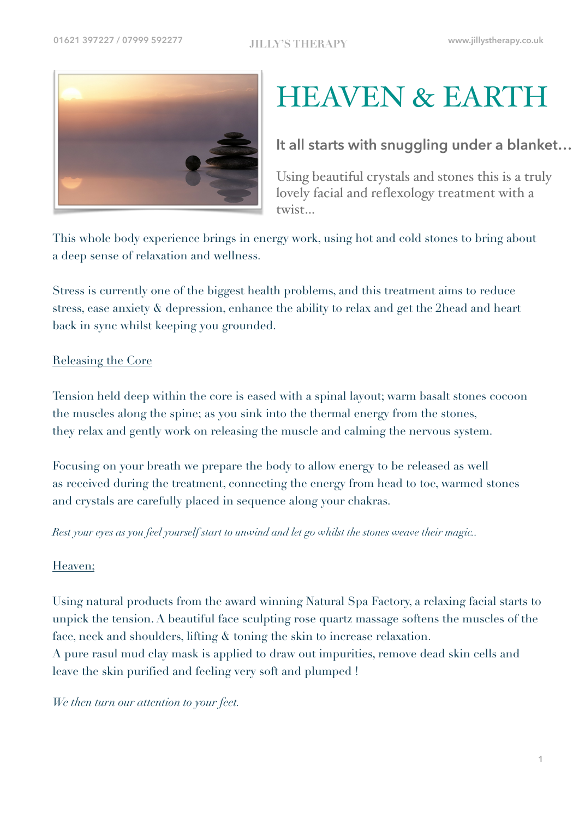

# HEAVEN & EARTH

# **It all starts with snuggling under a blanket…**

Using beautiful crystals and stones this is a truly lovely facial and reflexology treatment with a twist…

This whole body experience brings in energy work, using hot and cold stones to bring about a deep sense of relaxation and wellness.

Stress is currently one of the biggest health problems, and this treatment aims to reduce stress, ease anxiety & depression, enhance the ability to relax and get the 2head and heart back in sync whilst keeping you grounded.

## Releasing the Core

Tension held deep within the core is eased with a spinal layout; warm basalt stones cocoon the muscles along the spine; as you sink into the thermal energy from the stones, they relax and gently work on releasing the muscle and calming the nervous system.

Focusing on your breath we prepare the body to allow energy to be released as well as received during the treatment, connecting the energy from head to toe, warmed stones and crystals are carefully placed in sequence along your chakras.

*Rest your eyes as you feel yourself start to unwind and let go whilst the stones weave their magic..* 

#### Heaven;

Using natural products from the award winning Natural Spa Factory, a relaxing facial starts to unpick the tension. A beautiful face sculpting rose quartz massage softens the muscles of the face, neck and shoulders, lifting & toning the skin to increase relaxation. A pure rasul mud clay mask is applied to draw out impurities, remove dead skin cells and

leave the skin purified and feeling very soft and plumped !

*We then turn our attention to your feet.*